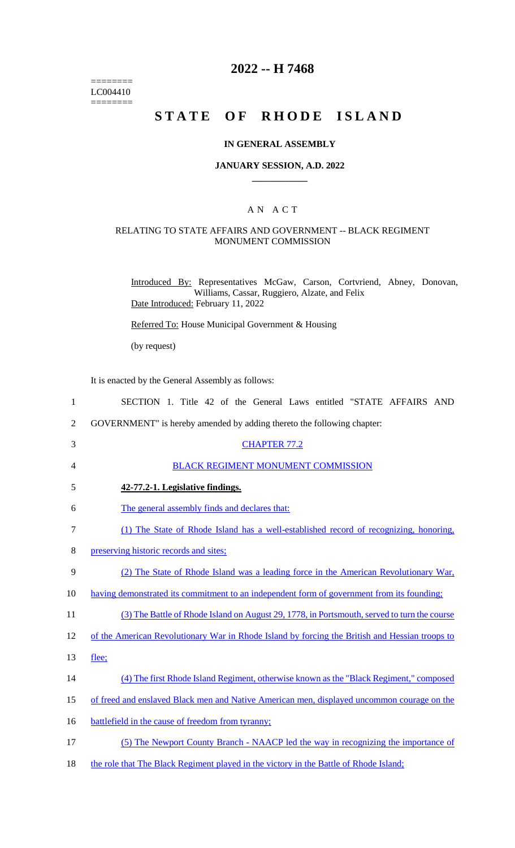======== LC004410  $=$ 

# **2022 -- H 7468**

# **STATE OF RHODE ISLAND**

#### **IN GENERAL ASSEMBLY**

#### **JANUARY SESSION, A.D. 2022 \_\_\_\_\_\_\_\_\_\_\_\_**

### A N A C T

## RELATING TO STATE AFFAIRS AND GOVERNMENT -- BLACK REGIMENT MONUMENT COMMISSION

Introduced By: Representatives McGaw, Carson, Cortvriend, Abney, Donovan, Williams, Cassar, Ruggiero, Alzate, and Felix Date Introduced: February 11, 2022

Referred To: House Municipal Government & Housing

(by request)

It is enacted by the General Assembly as follows:

| $\mathbf{1}$ | SECTION 1. Title 42 of the General Laws entitled "STATE AFFAIRS AND                            |
|--------------|------------------------------------------------------------------------------------------------|
| 2            | GOVERNMENT" is hereby amended by adding thereto the following chapter:                         |
| 3            | <b>CHAPTER 77.2</b>                                                                            |
| 4            | BLACK REGIMENT MONUMENT COMMISSION                                                             |
| 5            | 42-77.2-1. Legislative findings.                                                               |
| 6            | The general assembly finds and declares that:                                                  |
| 7            | (1) The State of Rhode Island has a well-established record of recognizing, honoring,          |
| 8            | preserving historic records and sites;                                                         |
| 9            | (2) The State of Rhode Island was a leading force in the American Revolutionary War,           |
| 10           | having demonstrated its commitment to an independent form of government from its founding;     |
| 11           | (3) The Battle of Rhode Island on August 29, 1778, in Portsmouth, served to turn the course    |
| 12           | of the American Revolutionary War in Rhode Island by forcing the British and Hessian troops to |
| 13           | flee;                                                                                          |
| 14           | (4) The first Rhode Island Regiment, otherwise known as the "Black Regiment," composed         |
| 15           | of freed and enslaved Black men and Native American men, displayed uncommon courage on the     |
| 16           | battlefield in the cause of freedom from tyranny;                                              |
| 17           | (5) The Newport County Branch - NAACP led the way in recognizing the importance of             |
|              |                                                                                                |

18 the role that The Black Regiment played in the victory in the Battle of Rhode Island;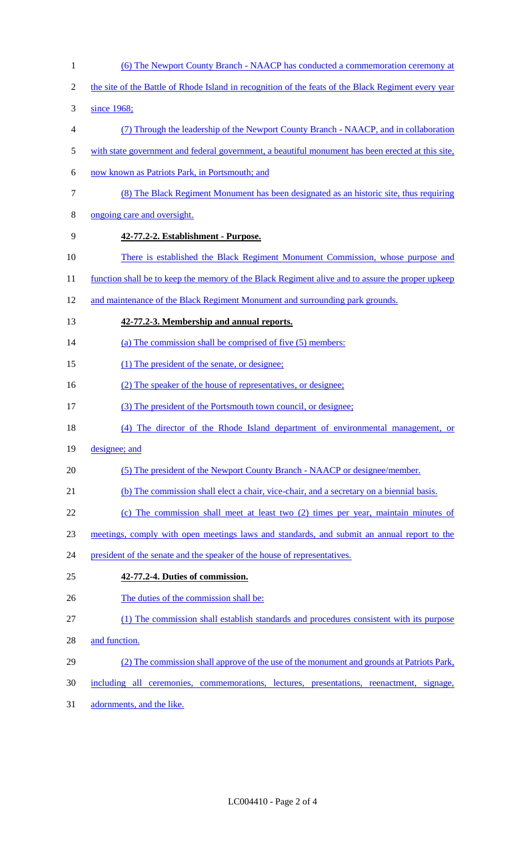1 (6) The Newport County Branch - NAACP has conducted a commemoration ceremony at 2 the site of the Battle of Rhode Island in recognition of the feats of the Black Regiment every year 3 since 1968; 4 (7) Through the leadership of the Newport County Branch - NAACP, and in collaboration 5 with state government and federal government, a beautiful monument has been erected at this site, 6 now known as Patriots Park, in Portsmouth; and 7 (8) The Black Regiment Monument has been designated as an historic site, thus requiring 8 ongoing care and oversight. 9 **42-77.2-2. Establishment - Purpose.**  10 There is established the Black Regiment Monument Commission, whose purpose and 11 function shall be to keep the memory of the Black Regiment alive and to assure the proper upkeep 12 and maintenance of the Black Regiment Monument and surrounding park grounds. 13 **42-77.2-3. Membership and annual reports.**  14 (a) The commission shall be comprised of five (5) members: 15 (1) The president of the senate, or designee; 16 (2) The speaker of the house of representatives, or designee; 17 (3) The president of the Portsmouth town council, or designee; 18 (4) The director of the Rhode Island department of environmental management, or 19 designee; and 20 (5) The president of the Newport County Branch - NAACP or designee/member. 21 (b) The commission shall elect a chair, vice-chair, and a secretary on a biennial basis. 22 (c) The commission shall meet at least two (2) times per year, maintain minutes of 23 meetings, comply with open meetings laws and standards, and submit an annual report to the 24 president of the senate and the speaker of the house of representatives. 25 **42-77.2-4. Duties of commission.**  26 The duties of the commission shall be: 27 (1) The commission shall establish standards and procedures consistent with its purpose 28 and function. 29 (2) The commission shall approve of the use of the monument and grounds at Patriots Park, 30 including all ceremonies, commemorations, lectures, presentations, reenactment, signage, 31 adornments, and the like.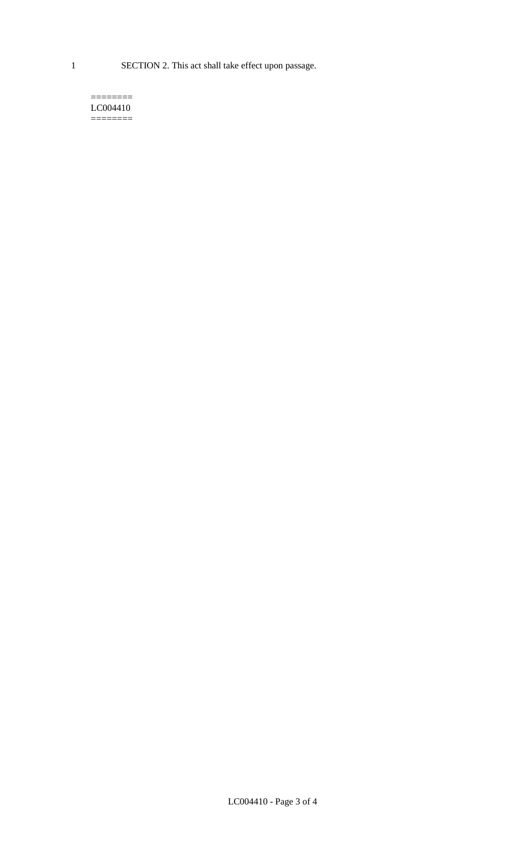1 SECTION 2. This act shall take effect upon passage.

#### $=$ LC004410 ========